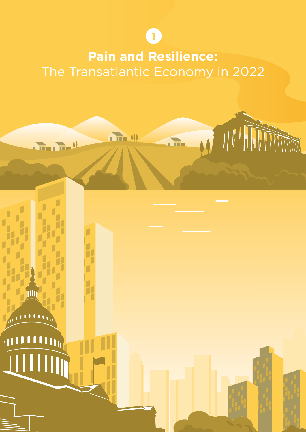**1**

# **Pain and Resilience:** The Transatlantic Economy in 2022

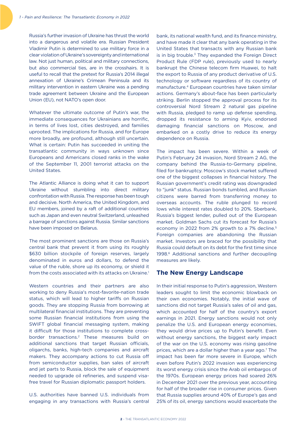Russia's further invasion of Ukraine has thrust the world into a dangerous and volatile era. Russian President Vladimir Putin is determined to use military force in a clear violation of Ukraine's sovereignty and international law. Not just human, political and military connections, but also commercial ties, are in the crosshairs. It is useful to recall that the pretext for Russia's 2014 illegal annexation of Ukraine's Crimean Peninsula and its military intervention in eastern Ukraine was a pending trade agreement between Ukraine and the European Union (EU), not NATO's open door.

Whatever the ultimate outcome of Putin's war, the immediate consequences for Ukrainians are horrific, in terms of lives lost, cities destroyed, and families uprooted. The implications for Russia, and for Europe more broadly, are profound, although still uncertain. What is certain: Putin has succeeded in uniting the transatlantic community in ways unknown since Europeans and Americans closed ranks in the wake of the September 11, 2001 terrorist attacks on the United States.

The Atlantic Alliance is doing what it can to support Ukraine without stumbling into direct military confrontation with Russia. The response has been tough and decisive. North America, the United Kingdom, and EU members, joined by a raft of additional countries such as Japan and even neutral Switzerland, unleashed a barrage of sanctions against Russia. Similar sanctions have been imposed on Belarus.

The most prominent sanctions are those on Russia's central bank that prevent it from using its roughly \$630 billion stockpile of foreign reserves, largely denominated in euros and dollars, to defend the value of the ruble, shore up its economy, or shield it from the costs associated with its attacks on Ukraine.<sup>1</sup>

Western countries and their partners are also working to deny Russia's most-favorite-nation trade status, which will lead to higher tariffs on Russian goods. They are stopping Russia from borrowing at multilateral financial institutions. They are preventing some Russian financial institutions from using the SWIFT global financial messaging system, making it difficult for those institutions to complete crossborder transactions.2 These measures build on additional sanctions that target Russian officials, oligarchs, banks, high-tech companies and aircraft makers. They accompany actions to cut Russia off from semiconductor supplies, ban sales of aircraft and jet parts to Russia, block the sale of equipment needed to upgrade oil refineries, and suspend visafree travel for Russian diplomatic passport holders.

U.S. authorities have banned U.S. individuals from engaging in any transactions with Russia's central

bank, its national wealth fund, and its finance ministry, and have made it clear that any bank operating in the United States that transacts with any Russian bank is in big trouble.<sup>3</sup> They expanded the Foreign Direct Product Rule (FDP rule), previously used to nearly bankrupt the Chinese telecom firm Huawei, to halt the export to Russia of any product derivative of U.S. technology or software regardless of its country of manufacture.4 European countries have taken similar actions. Germany's about-face has been particularly striking. Berlin stopped the approval process for its controversial Nord Stream 2 natural gas pipeline with Russia, pledged to ramp up defense spending, dropped its resistance to arming Kyiv, endorsed damaging financial sanctions on Moscow, and embarked on a costly drive to reduce its energy dependence on Russia.

The impact has been severe. Within a week of Putin's February 24 invasion, Nord Stream 2 AG, the company behind the Russia-to-Germany pipeline, filed for bankruptcy. Moscow's stock market suffered one of the biggest collapses in financial history. The Russian government's credit rating was downgraded to "junk" status. Russian bonds tumbled, and Russian citizens were barred from transferring money to overseas accounts. The ruble plunged to record lows while interest rates doubled to 20%. Sberbank, Russia's biggest lender, pulled out of the European market. Goldman Sachs cut its forecast for Russia's economy in 2022 from 2% growth to a 7% decline.<sup>5</sup> Foreign companies are abandoning the Russian market. Investors are braced for the possibility that Russia could default on its debt for the first time since 1998.<sup>6</sup> Additional sanctions and further decoupling measures are likely.

#### **The New Energy Landscape**

In their initial response to Putin's aggression, Western leaders sought to limit the economic blowback on their own economies. Notably, the initial wave of sanctions did not target Russia's sales of oil and gas, which accounted for half of the country's export earnings in 2021. Energy sanctions would not only penalize the U.S. and European energy economies, they would drive prices up to Putin's benefit. Even without energy sanctions, the biggest early impact of the war on the U.S. economy was rising gasoline prices, which are a dollar higher than a year ago.<sup>7</sup> The impact has been far more severe in Europe, which even before Putin's 2022 invasion was experiencing its worst energy crisis since the Arab oil embargos of the 1970s. European energy prices had soared 26% in December 2021 over the previous year, accounting for half of the broader rise in consumer prices. Given that Russia supplies around 40% of Europe's gas and 25% of its oil, energy sanctions would exacerbate the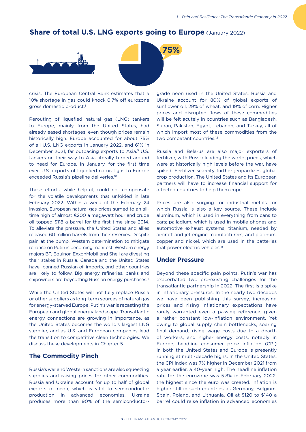### **Share of total U.S. LNG exports going to Europe (January 2022)**



crisis. The European Central Bank estimates that a 10% shortage in gas could knock 0.7% off eurozone gross domestic product.8

Rerouting of liquefied natural gas (LNG) tankers to Europe, mainly from the United States, had already eased shortages, even though prices remain historically high. Europe accounted for about 75% of all U.S. LNG exports in January 2022, and 61% in December 2021, far outpacing exports to Asia.<sup>9</sup> U.S. tankers on their way to Asia literally turned around to head for Europe. In January, for the first time ever, U.S. exports of liquefied natural gas to Europe exceeded Russia's pipeline deliveries.10

These efforts, while helpful, could not compensate for the volatile developments that unfolded in late February 2022. Within a week of the February 24 invasion, European natural gas prices surged to an alltime high of almost  $£200$  a megawatt hour and crude oil topped \$118 a barrel for the first time since 2014. To alleviate the pressure, the United States and allies released 60 million barrels from their reserves. Despite pain at the pump, Western determination to mitigate reliance on Putin is becoming manifest. Western energy majors BP, Equinor, ExxonMobil and Shell are divesting their stakes in Russia. Canada and the United States have banned Russian oil imports, and other countries are likely to follow. Big energy refineries, banks and shipowners are boycotting Russian energy purchases.<sup>11</sup>

While the United States will not fully replace Russia or other suppliers as long-term sources of natural gas for energy-starved Europe, Putin's war is recasting the European and global energy landscape. Transatlantic energy connections are growing in importance, as the United States becomes the world's largest LNG supplier, and as U.S. and European companies lead the transition to competitive clean technologies. We discuss these developments in Chapter 5.

#### **The Commodity Pinch**

Russia's war and Western sanctions are also squeezing supplies and raising prices for other commodities. Russia and Ukraine account for up to half of global exports of neon, which is vital to semiconductor production in advanced economies. Ukraine produces more than 90% of the semiconductor-

grade neon used in the United States. Russia and Ukraine account for 80% of global exports of sunflower oil, 29% of wheat, and 19% of corn. Higher prices and disrupted flows of these commodities will be felt acutely in countries such as Bangladesh, Sudan, Pakistan, Egypt, Lebanon, and Turkey, all of which import most of these commodities from the two combatant countries.12

Russia and Belarus are also major exporters of fertilizer, with Russia leading the world; prices, which were at historically high levels before the war, have spiked. Fertilizer scarcity further jeopardizes global crop production. The United States and its European partners will have to increase financial support for affected countries to help them cope.

Prices are also surging for industrial metals for which Russia is also a key source. These include aluminum, which is used in everything from cans to cars; palladium, which is used in mobile phones and automotive exhaust systems; titanium, needed by aircraft and jet engine manufacturers; and platinum, copper and nickel, which are used in the batteries that power electric vehicles.<sup>13</sup>

#### **Under Pressure**

Beyond these specific pain points, Putin's war has exacerbated two pre-existing challenges for the transatlantic partnership in 2022. The first is a spike in inflationary pressures. In the nearly two decades we have been publishing this survey, increasing prices and rising inflationary expectations have rarely warranted even a passing reference, given a rather constant low-inflation environment. Yet owing to global supply chain bottlenecks, soaring final demand, rising wage costs due to a dearth of workers, and higher energy costs, notably in Europe, headline consumer price inflation (CPI) in both the United States and Europe is presently running at multi-decade highs. In the United States, the CPI index was 7% higher in December 2021 from a year earlier, a 40-year high. The headline inflation rate for the eurozone was 5.8% in February 2022, the highest since the euro was created. Inflation is higher still in such countries as Germany, Belgium, Spain, Poland, and Lithuania. Oil at \$120 to \$140 a barrel could raise inflation in advanced economies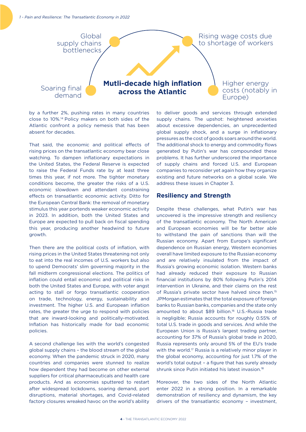

by a further 2%, pushing rates in many countries close to 10%.14 Policy makers on both sides of the Atlantic confront a policy nemesis that has been absent for decades.

That said, the economic and political effects of rising prices on the transatlantic economy bear close watching. To dampen inflationary expectations in the United States, the Federal Reserve is expected to raise the Federal Funds rate by at least three times this year, if not more. The tighter monetary conditions become, the greater the risks of a U.S. economic slowdown and attendant constraining effects on transatlantic economic activity. Ditto for the European Central Bank: the removal of monetary stimulus this year portends weaker economic activity in 2023. In addition, both the United States and Europe are expected to pull back on fiscal spending this year, producing another headwind to future growth.

Then there are the political costs of inflation, with rising prices in the United States threatening not only to eat into the real incomes of U.S. workers but also to upend Democrats' slim governing majority in the fall midterm congressional elections. The politics of inflation could entail economic and political risks in both the United States and Europe, with voter angst acting to stall or forgo transatlantic cooperation on trade, technology, energy, sustainability and investment. The higher U.S. and European inflation rates, the greater the urge to respond with policies that are inward-looking and politically-motivated. Inflation has historically made for bad economic policies.

A second challenge lies with the world's congested global supply chains – the blood stream of the global economy. When the pandemic struck in 2020, many countries and companies were stunned to realize how dependent they had become on other external suppliers for critical pharmaceuticals and health care products. And as economies sputtered to restart after widespread lockdowns, soaring demand, port disruptions, material shortages, and Covid-related factory closures wreaked havoc on the world's ability

to deliver goods and services through extended supply chains. The upshot: heightened anxieties about excessive dependencies, an unprecedented global supply shock, and a surge in inflationary pressures as the cost of goods soars around the world. The additional shock to energy and commodity flows generated by Putin's war has compounded these problems. It has further underscored the importance of supply chains and forced U.S. and European companies to reconsider yet again how they organize existing and future networks on a global scale. We address these issues in Chapter 3.

#### **Resiliency and Strength**

Despite these challenges, what Putin's war has uncovered is the impressive strength and resiliency of the transatlantic economy. The North American and European economies will be far better able to withstand the pain of sanctions than will the Russian economy. Apart from Europe's significant dependence on Russian energy, Western economies overall have limited exposure to the Russian economy and are relatively insulated from the impact of Russia's growing economic isolation. Western banks had already reduced their exposure to Russian financial institutions by 80% following Putin's 2014 intervention in Ukraine, and their claims on the rest of Russia's private sector have halved since then.<sup>15</sup> JPMorgan estimates that the total exposure of foreign banks to Russian banks, companies and the state only amounted to about \$89 billion.<sup>16</sup> U.S.-Russia trade is negligible; Russia accounts for roughly 0.55% of total U.S. trade in goods and services. And while the European Union is Russia's largest trading partner, accounting for 37% of Russia's global trade in 2020, Russia represents only around 5% of the EU's trade with the world.<sup>17</sup> Russia is a relatively minor player in the global economy, accounting for just 1.7% of the world's total output - a figure that has surely already shrunk since Putin initiated his latest invasion.<sup>18</sup>

Moreover, the two sides of the North Atlantic enter 2022 in a strong position. In a remarkable demonstration of resiliency and dynamism, the key drivers of the transatlantic economy – investment,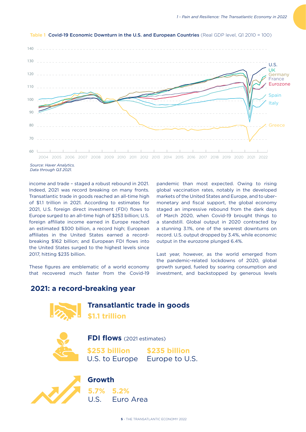

Table 1 Covid-19 Economic Downturn in the U.S. and European Countries (Real GDP level, Q1 2010 = 100)

income and trade – staged a robust rebound in 2021. Indeed, 2021 was record breaking on many fronts. Transatlantic trade in goods reached an all-time high of \$1.1 trillion in 2021. According to estimates for 2021, U.S. foreign direct investment (FDI) flows to Europe surged to an all-time high of \$253 billion; U.S. foreign affiliate income earned in Europe reached an estimated \$300 billion, a record high; European affiliates in the United States earned a recordbreaking \$162 billion; and European FDI flows into the United States surged to the highest levels since 2017, hitting \$235 billion.

These figures are emblematic of a world economy that recovered much faster from the Covid-19

pandemic than most expected. Owing to rising global vaccination rates, notably in the developed markets of the United States and Europe, and to ubermonetary and fiscal support, the global economy staged an impressive rebound from the dark days of March 2020, when Covid-19 brought things to a standstill. Global output in 2020 contracted by a stunning 3.1%, one of the severest downturns on record. U.S. output dropped by 3.4%, while economic output in the eurozone plunged 6.4%.

Last year, however, as the world emerged from the pandemic-related lockdowns of 2020, global growth surged, fueled by soaring consumption and investment, and backstopped by generous levels

## **2021: a record-breaking year**



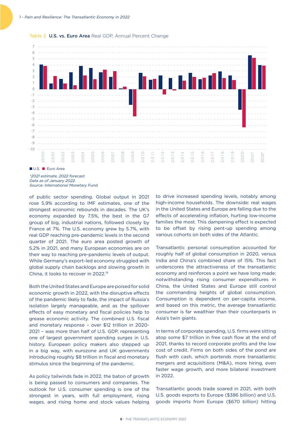

Table 2 U.S. vs. Euro Area Real GDP, Annual Percent Change

*\*2021 estimate, 2022 forecast. Data as of January 2022.* 

of public sector spending. Global output in 2021 rose 5.9% according to IMF estimates, one of the strongest economic rebounds in decades. The UK's economy expanded by 7.5%, the best in the G7 group of big, industrial nations, followed closely by France at 7%. The U.S. economy grew by 5.7%, with real GDP reaching pre-pandemic levels in the second quarter of 2021. The euro area posted growth of 5.2% in 2021, and many European economies are on their way to reaching pre-pandemic levels of output. While Germany's export-led economy struggled with global supply chain backlogs and slowing growth in China, it looks to recover in 2022.19

Both the United States and Europe are poised for solid economic growth in 2022, with the disruptive effects of the pandemic likely to fade, the impact of Russia's isolation largely manageable, and as the spillover effects of easy monetary and fiscal policies help to grease economic activity. The combined U.S. fiscal and monetary response – over \$12 trillion in 2020- 2021 – was more than half of U.S. GDP, representing one of largest government spending surges in U.S. history. European policy makers also stepped up in a big way, with eurozone and UK governments introducing roughly \$8 trillion in fiscal and monetary stimulus since the beginning of the pandemic.

As policy tailwinds fade in 2022, the baton of growth is being passed to consumers and companies. The outlook for U.S. consumer spending is one of the strongest in years, with full employment, rising wages, and rising home and stock values helping to drive increased spending levels, notably among high-income households. The downside: real wages in the United States and Europe are falling due to the effects of accelerating inflation, hurting low-income families the most. This dampening effect is expected to be offset by rising pent-up spending among various cohorts on both sides of the Atlantic.

Transatlantic personal consumption accounted for roughly half of global consumption in 2020, versus India and China's combined share of 15%. This fact underscores the attractiveness of the transatlantic economy and reinforces a point we have long made: notwithstanding rising consumer expenditures in China, the United States and Europe still control the commanding heights of global consumption. Consumption is dependent on per-capita income, and based on this metric, the average transatlantic consumer is far wealthier than their counterparts in Asia's twin giants.

In terms of corporate spending, U.S. firms were sitting atop some \$7 trillion in free cash flow at the end of 2021, thanks to record corporate profits and the low cost of credit. Firms on both sides of the pond are flush with cash, which portends more transatlantic mergers and acquisitions (M&A), more hiring, even faster wage growth, and more bilateral investment in 2022.

Transatlantic goods trade soared in 2021, with both U.S. goods exports to Europe (\$386 billion) and U.S. goods imports from Europe (\$670 billion) hitting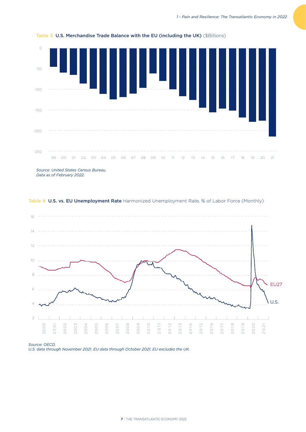

Table 3 U.S. Merchandise Trade Balance with the EU (including the UK) (\$Billions)

*Source: United States Census Bureau. Data as of February 2022.* 





*Source: OECD.*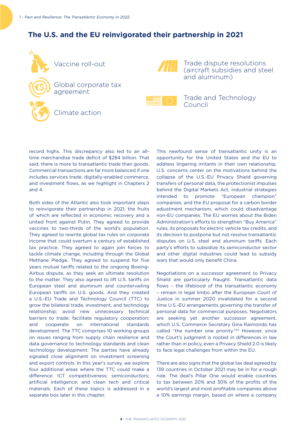# **The U.S. and the EU reinvigorated their partnership in 2021**



record highs. This discrepancy also led to an alltime merchandise trade deficit of \$284 billion. That said, there is more to transatlantic trade than goods. Commercial transactions are far more balanced if one includes services trade, digitally-enabled commerce, and investment flows, as we highlight in Chapters 2 and 4.

Both sides of the Atlantic also took important steps to reinvigorate their partnership in 2021, the fruits of which are reflected in economic recovery and a united front against Putin. They agreed to provide vaccines to two-thirds of the world's population. They agreed to rewrite global tax rules on corporate income that could overturn a century of established tax practice. They agreed to again join forces to tackle climate change, including through the Global Methane Pledge. They agreed to suspend for five years mutual tariffs related to the ongoing Boeing-Airbus dispute, as they seek an ultimate resolution to the matter. They also agreed to lift U.S. tariffs on European steel and aluminum and countervailing European tariffs on U.S. goods. And they created a U.S.-EU Trade and Technology Council (TTC) to grow the bilateral trade, investment, and technology relationship; avoid new unnecessary technical barriers to trade; facilitate regulatory cooperation; and cooperate on international standards development. The TTC comprises 10 working groups on issues ranging from supply chain resilience and data governance to technology standards and clean technology development. The parties have already signaled close alignment on investment screening and export controls. In this year's survey, we explore four additional areas where the TTC could make a difference: ICT competitiveness; semiconductors; artificial intelligence; and clean tech and critical materials. Each of these topics is addressed in a separate box later in this chapter.

This newfound sense of transatlantic unity is an opportunity for the United States and the EU to address lingering irritants in their own relationship. U.S. concerns center on the motivations behind the collapse of the U.S.-EU Privacy Shield governing transfers of personal data, the protectionist impulses behind the Digital Markets Act, industrial strategies intended to promote "European champion" companies, and the EU proposal for a carbon border adjustment mechanism, which could disadvantage non-EU companies. The EU worries about the Biden Administration's efforts to strengthen "Buy America" rules, its proposals for electric vehicle tax credits, and its decision to postpone but not resolve transatlantic disputes on U.S. steel and aluminum tariffs. Each party's efforts to subsidize its semiconductor sector and other digital industries could lead to subsidy wars that would only benefit China.

Negotiations on a successor agreement to Privacy Shield are particularly fraught. Transatlantic data flows – the lifeblood of the transatlantic economy – remain in legal limbo after the European Court of Justice in summer 2020 invalidated for a second time U.S.-EU arrangements governing the transfer of personal data for commercial purposes. Negotiators are seeking yet another successor agreement, which U.S. Commerce Secretary Gina Raimondo has called "the number one priority."<sup>20</sup> However, since the Court's judgment is rooted in differences in law rather than in policy, even a Privacy Shield 2.0 is likely to face legal challenges from within the EU.

There are also signs that the global tax deal agreed by 139 countries in October 2021 may be in for a rough ride. The deal's Pillar One would enable countries to tax between 20% and 30% of the profits of the world's largest and most profitable companies above a 10% earnings margin, based on where a company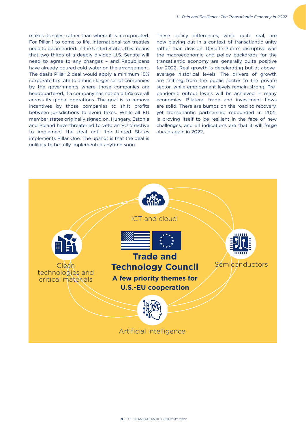makes its sales, rather than where it is incorporated. For Pillar 1 to come to life, international tax treaties need to be amended. In the United States, this means that two-thirds of a deeply divided U.S. Senate will need to agree to any changes – and Republicans have already poured cold water on the arrangement. The deal's Pillar 2 deal would apply a minimum 15% corporate tax rate to a much larger set of companies by the governments where those companies are headquartered, if a company has not paid 15% overall across its global operations. The goal is to remove incentives by those companies to shift profits between jurisdictions to avoid taxes. While all EU member states originally signed on, Hungary, Estonia and Poland have threatened to veto an EU directive to implement the deal until the United States implements Pillar One. The upshot is that the deal is unlikely to be fully implemented anytime soon.

These policy differences, while quite real, are now playing out in a context of transatlantic unity rather than division. Despite Putin's disruptive war, the macroeconomic and policy backdrops for the transatlantic economy are generally quite positive for 2022. Real growth is decelerating but at aboveaverage historical levels. The drivers of growth are shifting from the public sector to the private sector, while employment levels remain strong. Prepandemic output levels will be achieved in many economies. Bilateral trade and investment flows are solid. There are bumps on the road to recovery, yet transatlantic partnership rebounded in 2021, is proving itself to be resilient in the face of new challenges, and all indications are that it will forge ahead again in 2022.

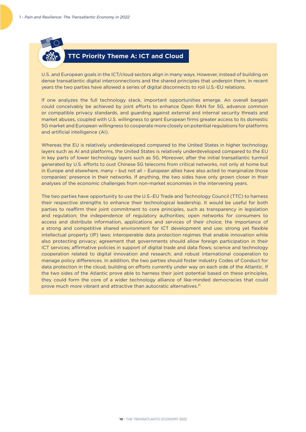

# **TTC Priority Theme A: ICT and Cloud**

U.S. and European goals in the ICT/cloud sectors align in many ways. However, instead of building on dense transatlantic digital interconnections and the shared principles that underpin them, in recent years the two parties have allowed a series of digital disconnects to roil U.S.-EU relations.

If one analyzes the full technology stack, important opportunities emerge. An overall bargain could conceivably be achieved by joint efforts to enhance Open RAN for 5G, advance common or compatible privacy standards, and guarding against external and internal security threats and market abuses, coupled with U.S. willingness to grant European firms greater access to its domestic 5G market and European willingness to cooperate more closely on potential regulations for platforms and artificial intelligence (AI).

Whereas the EU is relatively underdeveloped compared to the United States in higher technology layers such as AI and platforms, the United States is relatively underdeveloped compared to the EU in key parts of lower technology layers such as 5G. Moreover, after the initial transatlantic turmoil generated by U.S. efforts to oust Chinese 5G telecoms from critical networks, not only at home but in Europe and elsewhere, many – but not all – European allies have also acted to marginalize those companies' presence in their networks. If anything, the two sides have only grown closer in their analyses of the economic challenges from non-market economies in the intervening years.

The two parties have opportunity to use the U.S.-EU Trade and Technology Council (TTC) to harness their respective strengths to enhance their technological leadership. It would be useful for both parties to reaffirm their joint commitment to core principles, such as transparency in legislation and regulation; the independence of regulatory authorities; open networks for consumers to access and distribute information, applications and services of their choice; the importance of a strong and competitive shared environment for ICT development and use; strong yet flexible intellectual property (IP) laws; interoperable data protection regimes that enable innovation while also protecting privacy; agreement that governments should allow foreign participation in their ICT services; affirmative policies in support of digital trade and data flows; science and technology cooperation related to digital innovation and research; and robust international cooperation to manage policy differences. In addition, the two parties should foster industry Codes of Conduct for data protection in the cloud, building on efforts currently under way on each side of the Atlantic. If the two sides of the Atlantic prove able to harness their joint potential based on these principles, they could form the core of a wider technology alliance of like-minded democracies that could prove much more vibrant and attractive than autocratic alternatives.<sup>21</sup>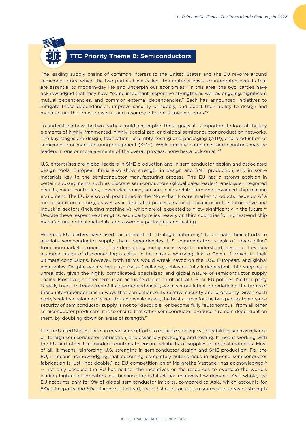

# **TTC Priority Theme B: Semiconductors**

The leading supply chains of common interest to the United States and the EU revolve around semiconductors, which the two parties have called "the material basis for integrated circuits that are essential to modern-day life and underpin our economies." In this area, the two parties have acknowledged that they have "some important respective strengths as well as ongoing, significant mutual dependencies, and common external dependencies." Each has announced initiatives to mitigate those dependencies, improve security of supply, and boost their ability to design and manufacture the "most powerful and resource efficient semiconductors."<sup>22</sup>

To understand how the two parties could accomplish these goals, it is important to look at the key elements of highly-fragmented, highly-specialized, and global semiconductor production networks. The key stages are design, fabrication, assembly, testing and packaging (ATP), and production of semiconductor manufacturing equipment (SME). While specific companies and countries may be leaders in one or more elements of the overall process, none has a lock on all.<sup>23</sup>

U.S. enterprises are global leaders in SME production and in semiconductor design and associated design tools. European firms also show strength in design and SME production, and in some materials key to the semiconductor manufacturing process. The EU has a strong position in certain sub-segments such as discrete semiconductors (global sales leader), analogue integrated circuits, micro-controllers, power electronics, sensors, chip architecture and advanced chip-making equipment. The EU is also well positioned in the 'More than Moore' market (products made up of a mix of semiconductors), as well as in dedicated processors for applications in the automotive and industrial sectors (including machinery), which are all expected to grow significantly in the future.<sup>24</sup> Despite these respective strengths, each party relies heavily on third countries for highest-end chip manufacture, critical materials, and assembly packaging and testing.

Whereas EU leaders have used the concept of "strategic autonomy" to animate their efforts to alleviate semiconductor supply chain dependencies, U.S. commentators speak of "decoupling" from non-market economies. The decoupling metaphor is easy to understand, because it evokes a simple image of disconnecting a cable, in this case a worrying link to China. If drawn to their ultimate conclusions, however, both terms would wreak havoc on the U.S., European, and global economies. Despite each side's push for self-reliance, achieving fully independent chip supplies is unrealistic, given the highly complicated, specialized and global nature of semiconductor supply chains. Moreover, neither term is an accurate depiction of actual U.S. or EU policies. Neither party is really trying to break free of its interdependencies; each is more intent on redefining the terms of those interdependencies in ways that can enhance its relative security and prosperity. Given each party's relative balance of strengths and weaknesses, the best course for the two parties to enhance security of semiconductor supply is not to "decouple" or become fully "autonomous" from all other semiconductor producers; it is to ensure that other semiconductor producers remain dependent on them, by doubling down on areas of strength.25

For the United States, this can mean some efforts to mitigate strategic vulnerabilities such as reliance on foreign semiconductor fabrication, and assembly packaging and testing. It means working with the EU and other like-minded countries to ensure reliability of supplies of critical materials. Most of all, it means reinforcing U.S. strengths in semiconductor design and SME production. For the EU, it means acknowledging that becoming completely autonomous in high-end semiconductor fabrication is just "not doable," as EU competition chief Margrethe Vestager has acknowledged<sup>26</sup> -- not only because the EU has neither the incentives or the resources to overtake the world's leading high-end fabricators, but because the EU itself has relatively low demand. As a whole, the EU accounts only for 9% of global semiconductor imports, compared to Asia, which accounts for 83% of exports and 81% of imports. Instead, the EU should focus its resources on areas of strength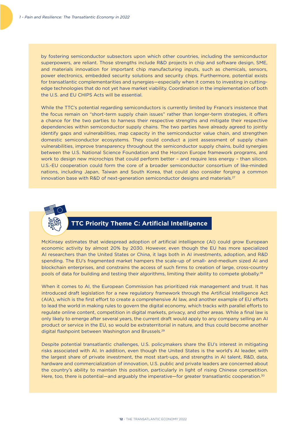by fostering semiconductor subsectors upon which other countries, including the semiconductor superpowers, are reliant. Those strengths include R&D projects in chip and software design, SME, and materials innovation for important chip manufacturing inputs, such as chemicals, sensors, power electronics, embedded security solutions and security chips. Furthermore, potential exists for transatlantic complementarities and synergies—especially when it comes to investing in cuttingedge technologies that do not yet have market viability. Coordination in the implementation of both the U.S. and EU CHIPS Acts will be essential.

While the TTC's potential regarding semiconductors is currently limited by France's insistence that the focus remain on "short-term supply chain issues" rather than longer-term strategies, it offers a chance for the two parties to harness their respective strengths and mitigate their respective dependencies within semiconductor supply chains. The two parties have already agreed to jointly identify gaps and vulnerabilities, map capacity in the semiconductor value chain, and strengthen domestic semiconductor ecosystems. They could conduct a joint assessment of supply chain vulnerabilities, improve transparency throughout the semiconductor supply chains, build synergies between the U.S. National Science Foundation and the Horizon Europe framework programs, and work to design new microchips that could perform better – and require less energy – than silicon. U.S.-EU cooperation could form the core of a broader semiconductor consortium of like-minded nations, including Japan, Taiwan and South Korea, that could also consider forging a common innovation base with R&D of next-generation semiconductor designs and materials.<sup>27</sup>



# **TTC Priority Theme C: Artificial Intelligence**

McKinsey estimates that widespread adoption of artificial intelligence (AI) could grow European economic activity by almost 20% by 2030. However, even though the EU has more specialized AI researchers than the United States or China, it lags both in AI investments, adoption, and R&D spending. The EU's fragmented market hampers the scale-up of small- and-medium sized AI and blockchain enterprises, and constrains the access of such firms to creation of large, cross-country pools of data for building and testing their algorithms, limiting their ability to compete globally.<sup>28</sup>

When it comes to AI, the European Commission has prioritized risk management and trust. It has introduced draft legislation for a new regulatory framework through the Artificial Intelligence Act (AIA), which is the first effort to create a comprehensive AI law, and another example of EU efforts to lead the world in making rules to govern the digital economy, which tracks with parallel efforts to regulate online content, competition in digital markets, privacy, and other areas. While a final law is only likely to emerge after several years, the current draft would apply to any company selling an AI product or service in the EU, so would be extraterritorial in nature, and thus could become another digital flashpoint between Washington and Brussels.29

Despite potential transatlantic challenges, U.S. policymakers share the EU's interest in mitigating risks associated with AI. In addition, even though the United States is the world's AI leader, with the largest share of private investment, the most start-ups, and strengths in AI talent, R&D, data, hardware and commercialization of innovation, U.S. public and private leaders are concerned about the country's ability to maintain this position, particularly in light of rising Chinese competition. Here, too, there is potential—and arguably the imperative—for greater transatlantic cooperation.<sup>30</sup>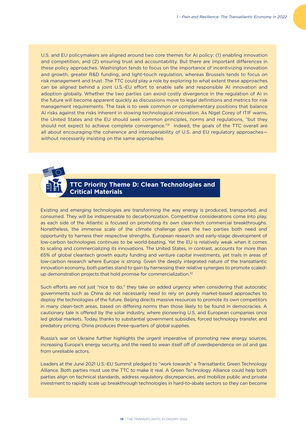U.S. and EU policymakers are aligned around two core themes for AI policy: (1) enabling innovation and competition, and (2) ensuring trust and accountability. But there are important differences in these policy approaches. Washington tends to focus on the importance of incentivizing innovation and growth, greater R&D funding, and light-touch regulation, whereas Brussels tends to focus on risk management and trust. The TTC could play a role by exploring to what extent these approaches can be aligned behind a joint U.S.-EU effort to enable safe and responsible AI innovation and adoption globally. Whether the two parties can avoid costly divergence in the regulation of AI in the future will become apparent quickly as discussions move to legal definitions and metrics for risk management requirements. The task is to seek common or complementary positions that balance AI risks against the risks inherent in slowing technological innovation. As Nigel Corey of ITIF warns, the United States and the EU should seek common principles, norms and regulations, "but they should not expect to achieve complete convergence."<sup>31</sup> Indeed, the goals of the TTC overall are all about encouraging the coherence and interoperability of U.S. and EU regulatory approacheswithout necessarily insisting on the same approaches.

# **TTC Priority Theme D: Clean Technologies and Critical Materials**

Existing and emerging technologies are transforming the way energy is produced, transported, and consumed. They will be indispensable to decarbonization. Competitive considerations come into play, as each side of the Atlantic is focused on promoting its own clean-tech commercial breakthroughs. Nonetheless, the immense scale of the climate challenge gives the two parties both need and opportunity to harness their respective strengths. European research and early-stage development of low-carbon technologies continues to be world-beating. Yet the EU is relatively weak when it comes to scaling and commercializing its innovations. The United States, in contrast, accounts for more than 65% of global cleantech growth equity funding and venture capital investments, yet trails in areas of low-carbon research where Europe is strong. Given the deeply integrated nature of the transatlantic innovation economy, both parties stand to gain by harnessing their relative synergies to promote scaledup demonstration projects that hold promise for commercialization.<sup>32</sup>

Such efforts are not just "nice to do," they take on added urgency when considering that autocratic governments such as China do not necessarily need to rely on purely market-based approaches to deploy the technologies of the future. Beijing directs massive resources to promote its own competitors in many clean-tech areas, based on differing norms than those likely to be found in democracies. A cautionary tale is offered by the solar industry, where pioneering U.S. and European companies once led global markets. Today, thanks to substantial government subsidies, forced technology transfer, and predatory pricing, China produces three-quarters of global supplies.

Russia's war on Ukraine further highlights the urgent imperative of promoting new energy sources, increasing Europe's energy security, and the need to wean itself off of overdependence on oil and gas from unreliable actors.

Leaders at the June 2021 U.S.-EU Summit pledged to "work towards" a Transatlantic Green Technology Alliance. Both parties must use the TTC to make it real. A Green Technology Alliance could help both parties align on technical standards, address regulatory discrepancies, and mobilize public and private investment to rapidly scale up breakthrough technologies in hard-to-abate sectors so they can become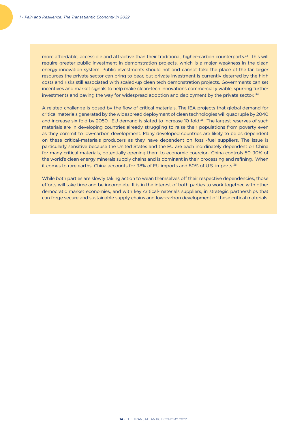more affordable, accessible and attractive than their traditional, higher-carbon counterparts.33 This will require greater public investment in demonstration projects, which is a major weakness in the clean energy innovation system. Public investments should not and cannot take the place of the far larger resources the private sector can bring to bear, but private investment is currently deterred by the high costs and risks still associated with scaled-up clean tech demonstration projects. Governments can set incentives and market signals to help make clean-tech innovations commercially viable, spurring further investments and paving the way for widespread adoption and deployment by the private sector. 34

A related challenge is posed by the flow of critical materials. The IEA projects that global demand for critical materials generated by the widespread deployment of clean technologies will quadruple by 2040 and increase six-fold by 2050. EU demand is slated to increase 10-fold.<sup>35</sup> The largest reserves of such materials are in developing countries already struggling to raise their populations from poverty even as they commit to low-carbon development. Many developed countries are likely to be as dependent on these critical-materials producers as they have dependent on fossil-fuel suppliers. The issue is particularly sensitive because the United States and the EU are each inordinately dependent on China for many critical materials, potentially opening them to economic coercion. China controls 50-90% of the world's clean energy minerals supply chains and is dominant in their processing and refining. When it comes to rare earths, China accounts for 98% of EU imports and 80% of U.S. imports.36

While both parties are slowly taking action to wean themselves off their respective dependencies, those efforts will take time and be incomplete. It is in the interest of both parties to work together, with other democratic market economies, and with key critical-materials suppliers, in strategic partnerships that can forge secure and sustainable supply chains and low-carbon development of these critical materials.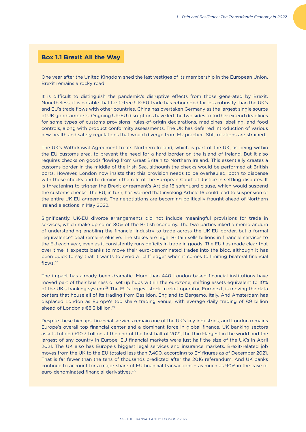#### **Box 1.1 Brexit All the Way**

One year after the United Kingdom shed the last vestiges of its membership in the European Union, Brexit remains a rocky road.

It is difficult to distinguish the pandemic's disruptive effects from those generated by Brexit. Nonetheless, it is notable that tariff-free UK-EU trade has rebounded far less robustly than the UK's and EU's trade flows with other countries. China has overtaken Germany as the largest single source of UK goods imports. Ongoing UK-EU disruptions have led the two sides to further extend deadlines for some types of customs provisions, rules-of-origin declarations, medicines labelling, and food controls, along with product conformity assessments. The UK has deferred introduction of various new health and safety regulations that would diverge from EU practice. Still, relations are strained.

The UK's Withdrawal Agreement treats Northern Ireland, which is part of the UK, as being within the EU customs area, to prevent the need for a hard border on the island of Ireland. But it also requires checks on goods flowing from Great Britain to Northern Ireland. This essentially creates a customs border in the middle of the Irish Sea, although the checks would be performed at British ports. However, London now insists that this provision needs to be overhauled, both to dispense with those checks and to diminish the role of the European Court of Justice in settling disputes. It is threatening to trigger the Brexit agreement's Article 16 safeguard clause, which would suspend the customs checks. The EU, in turn, has warned that invoking Article 16 could lead to suspension of the entire UK-EU agreement. The negotiations are becoming politically fraught ahead of Northern Ireland elections in May 2022.

Significantly, UK-EU divorce arrangements did not include meaningful provisions for trade in services, which make up some 80% of the British economy. The two parties inked a memorandum of understanding enabling the financial industry to trade across the UK-EU border, but a formal "equivalence" deal remains elusive. The stakes are high: Britain sells billions in financial services to the EU each year, even as it consistently runs deficits in trade in goods. The EU has made clear that over time it expects banks to move their euro-denominated trades into the bloc, although it has been quick to say that it wants to avoid a "cliff edge" when it comes to limiting bilateral financial flows.37

The impact has already been dramatic. More than 440 London-based financial institutions have moved part of their business or set up hubs within the eurozone, shifting assets equivalent to 10% of the UK's banking system.38 The EU's largest stock market operator, Euronext, is moving the data centers that house all of its trading from Basildon, England to Bergamo, Italy. And Amsterdam has displaced London as Europe's top share trading venue, with average daily trading of  $\epsilon$ 9 billion ahead of London's  $\epsilon$ 8.3 billion.<sup>39</sup>

Despite these hiccups, financial services remain one of the UK's key industries, and London remains Europe's overall top financial center and a dominant force in global finance. UK banking sectors assets totaled £10.3 trillion at the end of the first half of 2021, the third-largest in the world and the largest of any country in Europe. EU financial markets were just half the size of the UK's in April 2021. The UK also has Europe's biggest legal services and insurance markets. Brexit-related job moves from the UK to the EU totaled less than 7,400, according to EY figures as of December 2021. That is far fewer than the tens of thousands predicted after the 2016 referendum. And UK banks continue to account for a major share of EU financial transactions – as much as 90% in the case of euro-denominated financial derivatives.40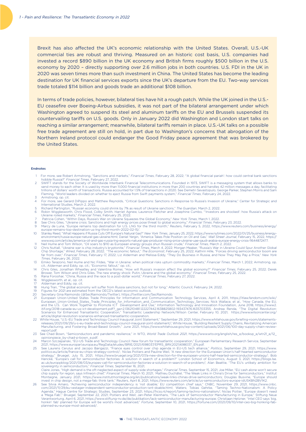Brexit has also affected the UK's economic relationship with the United States. Overall, U.S.-UK commercial ties are robust and thriving. Measured on an historic cost basis, U.S. companies had invested a record \$890 billion in the UK economy and British firms roughly \$500 billion in the U.S. economy by 2020 – directly supporting over 2.6 million jobs in both countries. U.S. FDI in the UK in 2020 was seven times more than such investment in China. The United States has become the leading destination for UK financial services exports since the UK's departure from the EU. Two-way services trade totaled \$114 billion and goods trade an additional \$108 billion.

In terms of trade policies, however, bilateral ties have hit a rough patch. While the UK joined in the U.S.- EU ceasefire over Boeing-Airbus subsidies, it was not part of the bilateral arrangement under which Washington agreed to suspend its steel and aluminum tariffs on the EU and Brussels suspended its countervailing tariffs on U.S. goods. Only in January 2022 did Washington and London start talks on reaching a similar arrangement; meanwhile, bilateral tariffs remain in place. U.S.-UK talks on a possible free trade agreement are still on hold, in part due to Washington's concerns that abrogation of the Northern Ireland protocol could endanger the Good Friday peace agreement that was brokered by the United States.

#### Endnotes

- 1 For more, see Robert Armstrong, "Sanctions and markets," *Financial Times*, February 28, 2022; "'A global financial pariah': how could central bank sanctions hobble Russia?" *Financial Times*, February 27, 2022. 2 SWIFT stands for the Society of Worldwide Interbank Financial Telecommunications. Founded in 1973, SWIFT is a messaging system that allows banks to
	- send money to each other. It is used by more than 11,000 financial institutions in more than 200 countries and handles 42 million messages a day, facilitating trillions of dollars' worth of transactions. Russia accounted for 1.5% of transactions in 2020. See Demetri Sevastopulo, George Parker, Stephen Morris and Sam<br>Fleming, "World leaders divided on whether to eject Russia from Armstrong, op. cit.
- 4 For more, see Gerard DiPippo and Matthew Reynolds, "Critical Questions: Sanctions in Response to Russia's Invasion of Ukraine," Center for Strategic and International Studies, March 2, 2022. 5 Richard Partington, "Russian economy could shrink by 7% as result of Ukraine sanctions," *The Guardian*, March 2, 2022.
- 
- 6 Robin Wigglesworth, Chris Flood, Colby Smith, Harriet Agnew, Laurence Fletcher and Josephine Cumbo, "'Investors are shocked': how Russia's attack on Ukraine roiled markets," *Financial Times*, February 25, 2022. 7 Patricia Cohen, "Within Days, Russia's War on Ukraine Squeezes the Global Economy," *New York Times*, March 1, 2022.
- 
- 8 See Chris Giles, "Ukraine crisis: Sanctions and high energy prices pose threat to global economy," *Financial Times*, February 23, 2022.<br>19 Marcy de Luna, "Europe remains top destination for U.S. LNG for the third month, europe-remains-top-destination-us-lng-third-month-2022-02-15/.
- 10 Stanley Reed, "What Happens if Russia Cuts Off Europe's Natural Gas?" *New York Times*, January 25, 2022, https://www.nytimes.com/2022/01/25/business/energyenvironment/russia-europe-natural-gas-ukraine.html; Daniel Yergin, "America Takes Pole Position on Oil and Gas," *Wall Street Journal*, February 15, 2022, https://<br>www.wsj.com/articles/america-oil-and-gas-russia-Ing-export
- 11 Neil Hume and Tom Wilson, "Oil soars to \$110 as European energy groups shun Russian crude," *Financial Times*, March 2, 2022.<br>12 Chris Nuttall, "Ukraine war is chip industry's kryptonite," *Financial Times*, March 4, 20 far from over," *Financial Times*, February 17, 2022; Liz Alderman and Melissa Eddy, "They Do Business in Russia, and Now They May Pay a Price," *New York Times*, February 26, 2022.
- 13 Emiko Terazono, Neil Hume and Nic Fildes, "War in Ukraine: when political risks upturn commodity markets," *Financial Times*, March 1, 2022; Armstrong, op. cit.; Alderman and Eddy, op. cit.; "Economic fallout," op. cit.;<br>14 Chris Giles, Jonathan Wheatley and Valentina Romei, "How will Russia's invasion affect the global economy?" *Financial Times*, February 25, 2022; Derek
- Brower, Tom Wilson and Chris Giles, The new energy shock: Putin, Ukraine and the global economy," *Financial Times*, February 25, 2022. 15 Rana Foroohar, "China, Russia and the race to a post-dollar world," *Financial Times*, February 27, 2022.
- 
- 16 Wigglesworth, et al., op. cit.<br>17 Alderman and Eddy, op. cit. 17 Alderman and Eddy, op. cit.
- 18 Hung Tran, "The global economy will suffer from Russia sanctions, but not for long," Atlantic Council, February 24, 2022.
- 19 Figures for 2021 are estimated from the OECD's latest economic outlook.<br>19 Figures for 2021 are estimated from the OECD's latest economic outlook.
- 20 Secretary Gina Raimondo (@SecRaimondo/Twitter), https://twitter.com/SecRaimondo.
- 21 European Union-United States Trade Principles for Information and Communication Technology Services, April 4, 2011, https://itlaw.fandom.com/wiki/ European\_Union-United\_States\_Trade\_Principles\_for\_Information\_and\_Communication\_Technology\_Services; Nick Wallace, et al., "How Canada, the EU,<br>and the U.S. Can Work Together to Promote ICT Development and Use," Informat itif.org/2018-canada-eu-us-ict-development.pdf?\_ga=2.136210481.122227442.1638825802-193437476.1635703355; Andrea Renda, "The Digital Revolution:<br>Scenarios for Enhanced Transatlantic Cooperation," Transatlantic Leadership N article/digital-revolution-scenarios-enhanced-transatlantic-cooperation.
- 22 White House, "U.S.-EU Trade and Technology Council Inaugural Joint Statement," September 29, 2021, https://www.whitehouse.gov/briefing-room/statementsreleases/2021/09/29/u-s-eu-trade-and-technology-council-inaugural-joint-statement/; White House, "Building Resilient Supply Chains, Revitalizing American<br>Manufacturing, and Fostering Broad-Based Growth," June 2021, https:/ report.pdf. 23 See Chad Bown, "Semiconductors and pandemic resilience," in WTO, *World Trade Outlook 2021*, https://www.wto.org/english/res\_e/booksp\_e/wtr21\_e/12\_
- opinionpiece\_by-chad-p-bown\_e.pdf.
- 24 Marcin Szczepanski, "EU-US Trade and Technology Council: New forum for transatlantic cooperation," European Parliamentary Research Service, September<br>2021, https://www.europarl.europa.eu/RegData/etudes/BRIE/2021/698037/
- 25 See Laurens Cerulus and Jacopo Barigazzi, "France eyes control over chip agenda in EU-US tech alliance," *Politico*, September 29, 2021, https://www. politico.eu/article/france-eu-chips-strategy-control/; Niclas Poitiers and Pauline Weil, "A new direction for the European Union's half-hearted semiconductor<br>strategy," Bruegel, July 15, 2021, https://www.bruegel.org/2021/ ac.uk/europpblog/2021/08/03/europes-call-for-semiconductor-factories-a-solution-in-search-of-a-problem/; Alan Beattie, "The EU's unlikely ambition for sovereignty in semiconductors," *Financial Times*, September 16, 2021;

Claire Jones, "High demand is the oft-neglected aspect of supply-side shortages," *Financial Times*, September 15, 2021; Joe Miller, "EU cash alone won't secure<br>chip supply for region, says Infineon chief," *Financial Time* Montaigne, January 2021, https://www.institutmontaigne.org/en/publications/weak-links-chinas-drive-semiconductors; Douglas Busvine, "Europe should<br>invest in chip design, not a mega-fab: think tank," Reuters, April 8, 2021,

26 See Silvia Amaro, "Achieving semiconductor independency is 'not doable,' EU competition chief says," CNBC, November 29, 2021, https://www.cnbc.<br>com/2021/11/29/eu-vestager-independent-semiconductor-production-isnt-doable Agenda," Hague Centre for Strategic Studies, September 23, 2021, https://hcss.nl/report/taming-techno-nationalism/; Niclas Poitier, "Europe doesn't need<br>a 'Mega Fab'," Bruegel, September 22, 2021; Poitiers and Weil; Jan-Pe Verantwortung, April 6, 2021, https://www.stiftung-nv.de/de/publikation/lack-semiconductor-manufacturing-europe; Christiaan Hetzner, "Intel CEO says 'big, honkin' fab' planned for Europe will be world's most advanced," *Fortune*, September 10, 2021, https://fortune.com/2021/09/10/intel-ceo-big-honking-fabplanned-eu-europe-most-advanced/.